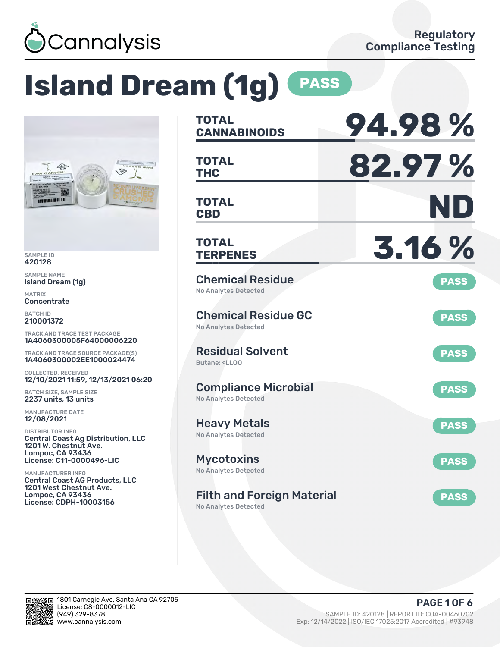

# **Island Dream (1g) PASS**



SAMPLE ID 420128

SAMPLE NAME Island Dream (1g)

MATRIX **Concentrate** 

BATCH ID 210001372

TRACK AND TRACE TEST PACKAGE 1A4060300005F64000006220

TRACK AND TRACE SOURCE PACKAGE(S) 1A4060300002EE1000024474

COLLECTED, RECEIVED 12/10/2021 11:59, 12/13/2021 06:20

BATCH SIZE, SAMPLE SIZE 2237 units, 13 units

MANUFACTURE DATE 12/08/2021

DISTRIBUTOR INFO Central Coast Ag Distribution, LLC 1201 W. Chestnut Ave. Lompoc, CA 93436 License: C11-0000496-LIC

MANUFACTURER INFO Central Coast AG Products, LLC 1201 West Chestnut Ave. Lompoc, CA 93436 License: CDPH-10003156

| <b>TOTAL</b><br><b>CANNABINOIDS</b>                                          | 94.98%      |
|------------------------------------------------------------------------------|-------------|
| <b>TOTAL</b><br>THC                                                          | 82.97%      |
| <b>TOTAL</b><br><b>CBD</b>                                                   | ND          |
| TOTAL<br><b>TERPENES</b>                                                     | 3.16 %      |
| <b>Chemical Residue</b><br>No Analytes Detected                              | <b>PASS</b> |
| <b>Chemical Residue GC</b><br><b>No Analytes Detected</b>                    | <b>PASS</b> |
| <b>Residual Solvent</b><br>Butane: <ll00< td=""><td><b>PASS</b></td></ll00<> | <b>PASS</b> |
| <b>Compliance Microbial</b><br><b>No Analytes Detected</b>                   | <b>PASS</b> |
| <b>Heavy Metals</b><br><b>No Analytes Detected</b>                           | <b>PASS</b> |
| Mycotoxins<br>No Analytes Detected                                           | <b>PASS</b> |
| <b>Filth and Foreign Material</b>                                            | <b>PASS</b> |

No Analytes Detected

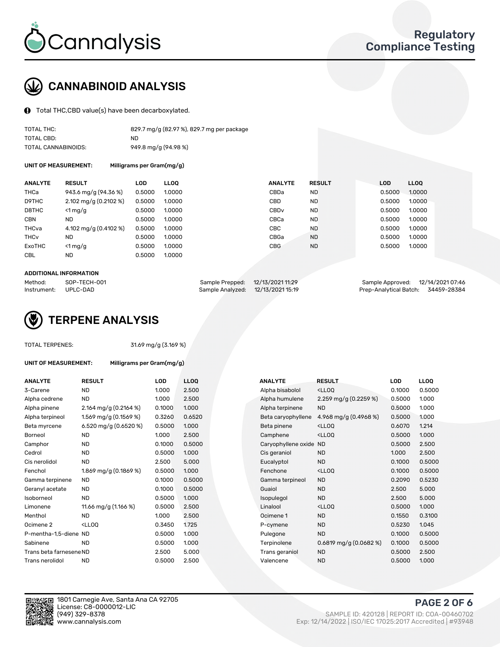

# CANNABINOID ANALYSIS

Total THC,CBD value(s) have been decarboxylated.

| TOTAL THC:          | 829.7 mg/g (82.97 %), 829.7 mg per package |
|---------------------|--------------------------------------------|
| TOTAL CBD:          | ND.                                        |
| TOTAL CANNABINOIDS: | 949.8 mg/g (94.98 %)                       |

UNIT OF MEASUREMENT: Milligrams per Gram(mg/g)

| <b>ANALYTE</b>         | <b>RESULT</b>                           | <b>LOD</b> | <b>LLOO</b> | <b>ANALYTE</b>   | <b>RESULT</b> | <b>LOD</b> | <b>LLOO</b> |
|------------------------|-----------------------------------------|------------|-------------|------------------|---------------|------------|-------------|
| THCa                   | 943.6 mg/g (94.36 %)                    | 0.5000     | 1.0000      | CBDa             | <b>ND</b>     | 0.5000     | 1.0000      |
| D9THC                  | $2.102 \text{ mg/g} (0.2102 \text{ %})$ | 0.5000     | 1.0000      | <b>CBD</b>       | <b>ND</b>     | 0.5000     | 1.0000      |
| D8THC                  | $<$ 1 mg/g                              | 0.5000     | 1.0000      | CBD <sub>v</sub> | <b>ND</b>     | 0.5000     | 1.0000      |
| <b>CBN</b>             | <b>ND</b>                               | 0.5000     | 1.0000      | CBCa             | <b>ND</b>     | 0.5000     | 1.0000      |
| THCva                  | 4.102 mg/g $(0.4102 \%)$                | 0.5000     | 1.0000      | CBC              | <b>ND</b>     | 0.5000     | 1.0000      |
| <b>THC<sub>v</sub></b> | <b>ND</b>                               | 0.5000     | 1.0000      | CBGa             | <b>ND</b>     | 0.5000     | 1.0000      |
| ExoTHC                 | $<$ 1 mg/g                              | 0.5000     | 1.0000      | <b>CBG</b>       | <b>ND</b>     | 0.5000     | 1.0000      |
| <b>CBL</b>             | <b>ND</b>                               | 0.5000     | 1.0000      |                  |               |            |             |

#### ADDITIONAL INFORMATION

| Method:              | SOP-TECH-001 | Sample Prepped: 12/13/2021 11:29  | Sample Approved: 12/14/2021 07:46  |
|----------------------|--------------|-----------------------------------|------------------------------------|
| Instrument: UPLC-DAD |              | Sample Analyzed: 12/13/2021 15:19 | Prep-Analytical Batch: 34459-28384 |



### TOTAL TERPENES: 31.69 mg/g (3.169 %)

| <b>ANALYTE</b>          | <b>RESULT</b>                                                                                                      | <b>LOD</b> | <b>LLOQ</b> | <b>ANALYTE</b>         | <b>RESULT</b>                                      | LOD    | LLOQ  |
|-------------------------|--------------------------------------------------------------------------------------------------------------------|------------|-------------|------------------------|----------------------------------------------------|--------|-------|
| 3-Carene                | <b>ND</b>                                                                                                          | 1.000      | 2.500       | Alpha bisabolol        | <lloq< td=""><td>0.1000</td><td>0.500</td></lloq<> | 0.1000 | 0.500 |
| Alpha cedrene           | ND.                                                                                                                | 1.000      | 2.500       | Alpha humulene         | 2.259 mg/g $(0.2259\%)$                            | 0.5000 | 1.000 |
| Alpha pinene            | 2.164 mg/g (0.2164 %)                                                                                              | 0.1000     | 1.000       | Alpha terpinene        | <b>ND</b>                                          | 0.5000 | 1.000 |
| Alpha terpineol         | 1.569 mg/g (0.1569 %)                                                                                              | 0.3260     | 0.6520      | Beta caryophyllene     | 4.968 mg/g (0.4968 %)                              | 0.5000 | 1.000 |
| Beta myrcene            | 6.520 mg/g (0.6520 %)                                                                                              | 0.5000     | 1.000       | Beta pinene            | <lloq< td=""><td>0.6070</td><td>1.214</td></lloq<> | 0.6070 | 1.214 |
| Borneol                 | <b>ND</b>                                                                                                          | 1.000      | 2.500       | Camphene               | <lloq< td=""><td>0.5000</td><td>1.000</td></lloq<> | 0.5000 | 1.000 |
| Camphor                 | <b>ND</b>                                                                                                          | 0.1000     | 0.5000      | Caryophyllene oxide ND |                                                    | 0.5000 | 2.500 |
| Cedrol                  | ND.                                                                                                                | 0.5000     | 1.000       | Cis geraniol           | <b>ND</b>                                          | 1.000  | 2.500 |
| Cis nerolidol           | <b>ND</b>                                                                                                          | 2.500      | 5.000       | Eucalyptol             | <b>ND</b>                                          | 0.1000 | 0.500 |
| Fenchol                 | 1.869 mg/g (0.1869 %)                                                                                              | 0.5000     | 1.000       | Fenchone               | <lloo< td=""><td>0.1000</td><td>0.500</td></lloo<> | 0.1000 | 0.500 |
| Gamma terpinene         | ND.                                                                                                                | 0.1000     | 0.5000      | Gamma terpineol        | <b>ND</b>                                          | 0.2090 | 0.523 |
| Geranyl acetate         | <b>ND</b>                                                                                                          | 0.1000     | 0.5000      | Guaiol                 | <b>ND</b>                                          | 2.500  | 5.000 |
| Isoborneol              | <b>ND</b>                                                                                                          | 0.5000     | 1.000       | Isopulegol             | <b>ND</b>                                          | 2.500  | 5.000 |
| Limonene                | 11.66 mg/g $(1.166\%)$                                                                                             | 0.5000     | 2.500       | Linalool               | <ll0q< td=""><td>0.5000</td><td>1.000</td></ll0q<> | 0.5000 | 1.000 |
| Menthol                 | <b>ND</b>                                                                                                          | 1.000      | 2.500       | Ocimene 1              | <b>ND</b>                                          | 0.1550 | 0.310 |
| Ocimene <sub>2</sub>    | <lloq< td=""><td>0.3450</td><td>1.725</td><td>P-cymene</td><td><b>ND</b></td><td>0.5230</td><td>1.045</td></lloq<> | 0.3450     | 1.725       | P-cymene               | <b>ND</b>                                          | 0.5230 | 1.045 |
| P-mentha-1,5-diene ND   |                                                                                                                    | 0.5000     | 1.000       | Pulegone               | <b>ND</b>                                          | 0.1000 | 0.500 |
| Sabinene                | <b>ND</b>                                                                                                          | 0.5000     | 1.000       | Terpinolene            | $0.6819$ mg/g $(0.0682%)$                          | 0.1000 | 0.500 |
| Trans beta farnesene ND |                                                                                                                    | 2.500      | 5.000       | Trans geraniol         | <b>ND</b>                                          | 0.5000 | 2.500 |
| Trans nerolidol         | ND                                                                                                                 | 0.5000     | 2.500       | Valencene              | <b>ND</b>                                          | 0.5000 | 1.000 |

UNIT OF MEASUREMENT: Milligrams per Gram(mg/g)

| ANALYTE                 | <b>RESULT</b>                                                                                                      | <b>LOD</b> | <b>LLOQ</b> | <b>ANALYTE</b>         | <b>RESULT</b>                                       | <b>LOD</b> | <b>LLOQ</b> |
|-------------------------|--------------------------------------------------------------------------------------------------------------------|------------|-------------|------------------------|-----------------------------------------------------|------------|-------------|
| 3-Carene                | <b>ND</b>                                                                                                          | 1.000      | 2.500       | Alpha bisabolol        | <lloq< td=""><td>0.1000</td><td>0.5000</td></lloq<> | 0.1000     | 0.5000      |
| Alpha cedrene           | <b>ND</b>                                                                                                          | 1.000      | 2.500       | Alpha humulene         | 2.259 mg/g $(0.2259\%)$                             | 0.5000     | 1.000       |
| Alpha pinene            | 2.164 mg/g (0.2164 %)                                                                                              | 0.1000     | 1.000       | Alpha terpinene        | <b>ND</b>                                           | 0.5000     | 1.000       |
| Alpha terpineol         | 1.569 mg/g $(0.1569\%)$                                                                                            | 0.3260     | 0.6520      | Beta caryophyllene     | 4.968 mg/g (0.4968 %)                               | 0.5000     | 1.000       |
| Beta myrcene            | 6.520 mg/g (0.6520 %)                                                                                              | 0.5000     | 1.000       | Beta pinene            | <lloq< td=""><td>0.6070</td><td>1.214</td></lloq<>  | 0.6070     | 1.214       |
| Borneol                 | <b>ND</b>                                                                                                          | 1.000      | 2.500       | Camphene               | <lloq< td=""><td>0.5000</td><td>1.000</td></lloq<>  | 0.5000     | 1.000       |
| Camphor                 | <b>ND</b>                                                                                                          | 0.1000     | 0.5000      | Caryophyllene oxide ND |                                                     | 0.5000     | 2.500       |
| Cedrol                  | <b>ND</b>                                                                                                          | 0.5000     | 1.000       | Cis geraniol           | <b>ND</b>                                           | 1.000      | 2.500       |
| Cis nerolidol           | <b>ND</b>                                                                                                          | 2.500      | 5.000       | Eucalyptol             | <b>ND</b>                                           | 0.1000     | 0.5000      |
| Fenchol                 | 1.869 mg/g (0.1869 %)                                                                                              | 0.5000     | 1.000       | Fenchone               | <lloq< td=""><td>0.1000</td><td>0.5000</td></lloq<> | 0.1000     | 0.5000      |
| Gamma terpinene         | ND.                                                                                                                | 0.1000     | 0.5000      | Gamma terpineol        | <b>ND</b>                                           | 0.2090     | 0.5230      |
| Geranyl acetate         | <b>ND</b>                                                                                                          | 0.1000     | 0.5000      | Guaiol                 | <b>ND</b>                                           | 2.500      | 5.000       |
| Isoborneol              | <b>ND</b>                                                                                                          | 0.5000     | 1.000       | Isopulegol             | <b>ND</b>                                           | 2.500      | 5.000       |
| Limonene                | 11.66 mg/g $(1.166\%)$                                                                                             | 0.5000     | 2.500       | Linalool               | <lloq< td=""><td>0.5000</td><td>1.000</td></lloq<>  | 0.5000     | 1.000       |
| Menthol                 | <b>ND</b>                                                                                                          | 1.000      | 2.500       | Ocimene 1              | <b>ND</b>                                           | 0.1550     | 0.3100      |
| Ocimene 2               | <lloq< td=""><td>0.3450</td><td>1.725</td><td>P-cymene</td><td><b>ND</b></td><td>0.5230</td><td>1.045</td></lloq<> | 0.3450     | 1.725       | P-cymene               | <b>ND</b>                                           | 0.5230     | 1.045       |
| P-mentha-1,5-diene ND   |                                                                                                                    | 0.5000     | 1.000       | Pulegone               | <b>ND</b>                                           | 0.1000     | 0.5000      |
| Sabinene                | <b>ND</b>                                                                                                          | 0.5000     | 1.000       | Terpinolene            | $0.6819$ mg/g $(0.0682%)$                           | 0.1000     | 0.5000      |
| Trans beta farnesene ND |                                                                                                                    | 2.500      | 5.000       | Trans geraniol         | <b>ND</b>                                           | 0.5000     | 2.500       |
| Trans nerolidol         | <b>ND</b>                                                                                                          | 0.5000     | 2.500       | Valencene              | <b>ND</b>                                           | 0.5000     | 1.000       |



1801 Carnegie Ave, Santa Ana CA 92705 License: C8-0000012-LIC<br>(949) 329-8378

PAGE 2 OF 6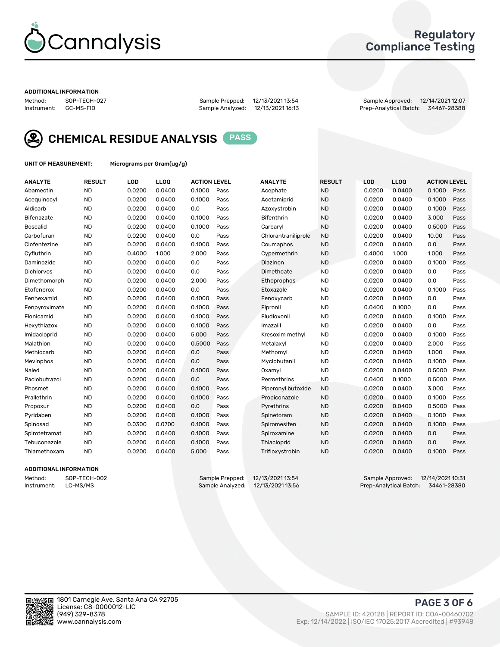

## Regulatory Compliance Testing

#### ADDITIONAL INFORMATION

Method: SOP-TECH-027 Sample Prepped: 12/13/2021 13:54 Sample Approved: 12/14/2021 12:07 Prep-Analytical Batch: 34467-28388



CHEMICAL RESIDUE ANALYSIS PASS

UNIT OF MEASUREMENT: Micrograms per Gram(ug/g)

| <b>ANALYTE</b>    | <b>RESULT</b> | LOD    | LL <sub>OO</sub> | <b>ACTION LEVEL</b> |      | <b>ANALYTE</b>      | <b>RESULT</b> | <b>LOD</b> | <b>LLOQ</b> | <b>ACTION LEVEL</b> |      |
|-------------------|---------------|--------|------------------|---------------------|------|---------------------|---------------|------------|-------------|---------------------|------|
| Abamectin         | <b>ND</b>     | 0.0200 | 0.0400           | 0.1000              | Pass | Acephate            | <b>ND</b>     | 0.0200     | 0.0400      | 0.1000              | Pass |
| Acequinocyl       | <b>ND</b>     | 0.0200 | 0.0400           | 0.1000              | Pass | Acetamiprid         | <b>ND</b>     | 0.0200     | 0.0400      | 0.1000              | Pass |
| Aldicarb          | <b>ND</b>     | 0.0200 | 0.0400           | 0.0                 | Pass | Azoxystrobin        | <b>ND</b>     | 0.0200     | 0.0400      | 0.1000              | Pass |
| Bifenazate        | <b>ND</b>     | 0.0200 | 0.0400           | 0.1000              | Pass | <b>Bifenthrin</b>   | <b>ND</b>     | 0.0200     | 0.0400      | 3.000               | Pass |
| <b>Boscalid</b>   | <b>ND</b>     | 0.0200 | 0.0400           | 0.1000              | Pass | Carbaryl            | <b>ND</b>     | 0.0200     | 0.0400      | 0.5000              | Pass |
| Carbofuran        | <b>ND</b>     | 0.0200 | 0.0400           | 0.0                 | Pass | Chlorantraniliprole | <b>ND</b>     | 0.0200     | 0.0400      | 10.00               | Pass |
| Clofentezine      | <b>ND</b>     | 0.0200 | 0.0400           | 0.1000              | Pass | Coumaphos           | <b>ND</b>     | 0.0200     | 0.0400      | 0.0                 | Pass |
| Cyfluthrin        | <b>ND</b>     | 0.4000 | 1.000            | 2.000               | Pass | Cypermethrin        | <b>ND</b>     | 0.4000     | 1.000       | 1.000               | Pass |
| Daminozide        | <b>ND</b>     | 0.0200 | 0.0400           | 0.0                 | Pass | Diazinon            | <b>ND</b>     | 0.0200     | 0.0400      | 0.1000              | Pass |
| <b>Dichlorvos</b> | <b>ND</b>     | 0.0200 | 0.0400           | 0.0                 | Pass | Dimethoate          | <b>ND</b>     | 0.0200     | 0.0400      | 0.0                 | Pass |
| Dimethomorph      | <b>ND</b>     | 0.0200 | 0.0400           | 2.000               | Pass | <b>Ethoprophos</b>  | <b>ND</b>     | 0.0200     | 0.0400      | 0.0                 | Pass |
| Etofenprox        | <b>ND</b>     | 0.0200 | 0.0400           | 0.0                 | Pass | Etoxazole           | <b>ND</b>     | 0.0200     | 0.0400      | 0.1000              | Pass |
| Fenhexamid        | <b>ND</b>     | 0.0200 | 0.0400           | 0.1000              | Pass | Fenoxycarb          | <b>ND</b>     | 0.0200     | 0.0400      | 0.0                 | Pass |
| Fenpyroximate     | <b>ND</b>     | 0.0200 | 0.0400           | 0.1000              | Pass | Fipronil            | <b>ND</b>     | 0.0400     | 0.1000      | 0.0                 | Pass |
| Flonicamid        | <b>ND</b>     | 0.0200 | 0.0400           | 0.1000              | Pass | Fludioxonil         | <b>ND</b>     | 0.0200     | 0.0400      | 0.1000              | Pass |
| Hexythiazox       | <b>ND</b>     | 0.0200 | 0.0400           | 0.1000              | Pass | Imazalil            | <b>ND</b>     | 0.0200     | 0.0400      | 0.0                 | Pass |
| Imidacloprid      | <b>ND</b>     | 0.0200 | 0.0400           | 5.000               | Pass | Kresoxim methyl     | <b>ND</b>     | 0.0200     | 0.0400      | 0.1000              | Pass |
| Malathion         | <b>ND</b>     | 0.0200 | 0.0400           | 0.5000              | Pass | Metalaxyl           | <b>ND</b>     | 0.0200     | 0.0400      | 2.000               | Pass |
| Methiocarb        | <b>ND</b>     | 0.0200 | 0.0400           | 0.0                 | Pass | Methomyl            | <b>ND</b>     | 0.0200     | 0.0400      | 1.000               | Pass |
| Mevinphos         | <b>ND</b>     | 0.0200 | 0.0400           | 0.0                 | Pass | Myclobutanil        | <b>ND</b>     | 0.0200     | 0.0400      | 0.1000              | Pass |
| Naled             | <b>ND</b>     | 0.0200 | 0.0400           | 0.1000              | Pass | Oxamyl              | <b>ND</b>     | 0.0200     | 0.0400      | 0.5000              | Pass |
| Paclobutrazol     | <b>ND</b>     | 0.0200 | 0.0400           | 0.0                 | Pass | Permethrins         | <b>ND</b>     | 0.0400     | 0.1000      | 0.5000              | Pass |
| Phosmet           | <b>ND</b>     | 0.0200 | 0.0400           | 0.1000              | Pass | Piperonyl butoxide  | <b>ND</b>     | 0.0200     | 0.0400      | 3.000               | Pass |
| Prallethrin       | <b>ND</b>     | 0.0200 | 0.0400           | 0.1000              | Pass | Propiconazole       | <b>ND</b>     | 0.0200     | 0.0400      | 0.1000              | Pass |
| Propoxur          | <b>ND</b>     | 0.0200 | 0.0400           | 0.0                 | Pass | Pyrethrins          | <b>ND</b>     | 0.0200     | 0.0400      | 0.5000              | Pass |
| Pyridaben         | <b>ND</b>     | 0.0200 | 0.0400           | 0.1000              | Pass | Spinetoram          | <b>ND</b>     | 0.0200     | 0.0400      | 0.1000              | Pass |
| Spinosad          | <b>ND</b>     | 0.0300 | 0.0700           | 0.1000              | Pass | Spiromesifen        | <b>ND</b>     | 0.0200     | 0.0400      | 0.1000              | Pass |
| Spirotetramat     | <b>ND</b>     | 0.0200 | 0.0400           | 0.1000              | Pass | Spiroxamine         | <b>ND</b>     | 0.0200     | 0.0400      | 0.0                 | Pass |
| Tebuconazole      | <b>ND</b>     | 0.0200 | 0.0400           | 0.1000              | Pass | Thiacloprid         | <b>ND</b>     | 0.0200     | 0.0400      | 0.0                 | Pass |
| Thiamethoxam      | <b>ND</b>     | 0.0200 | 0.0400           | 5.000               | Pass | Trifloxystrobin     | <b>ND</b>     | 0.0200     | 0.0400      | 0.1000              | Pass |

## ADDITIONAL INFORMATION

Method: SOP-TECH-002 Sample Prepped: 12/13/2021 13:54 Sample Approved: 12/14/2021 10:31<br>Instrument: LC-MS/MS Sample Analyzed: 12/13/2021 13:56 Prep-Analytical Batch: 34461-28380 Prep-Analytical Batch: 34461-28380

PAGE 3 OF 6

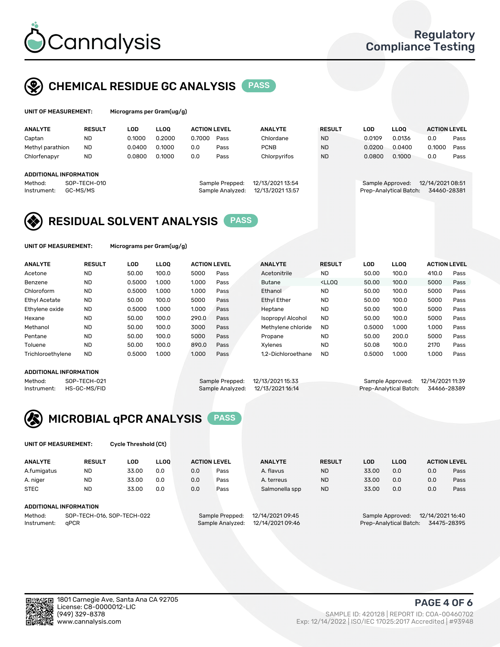

## CHEMICAL RESIDUE GC ANALYSIS PASS

| UNIT OF MEASUREMENT: |               | Micrograms per Gram(ug/g) |      |                     |                |               |     |      |                     |
|----------------------|---------------|---------------------------|------|---------------------|----------------|---------------|-----|------|---------------------|
| <b>ANALYTE</b>       | <b>RESULT</b> | ∟OD                       | LLOO | <b>ACTION LEVEL</b> | <b>ANALYTE</b> | <b>RESULT</b> | ∟OD | LLOO | <b>ACTION LEVEL</b> |
|                      |               |                           |      |                     |                |               |     |      |                     |

| Captan                 | <b>ND</b>    | 0.1000 | 0.2000 | 0.7000 | Pass             | Chlordane        | <b>ND</b> | 0.0109                 | 0.0136 | 0.0              | Pass |
|------------------------|--------------|--------|--------|--------|------------------|------------------|-----------|------------------------|--------|------------------|------|
| Methyl parathion       | <b>ND</b>    | 0.0400 | 0.1000 | 0.0    | Pass             | <b>PCNB</b>      | <b>ND</b> | 0.0200                 | 0.0400 | 0.1000           | Pass |
| Chlorfenapyr           | <b>ND</b>    | 0.0800 | 0.1000 | 0.0    | Pass             | Chlorpyrifos     | <b>ND</b> | 0.0800                 | 0.1000 | 0.0              | Pass |
|                        |              |        |        |        |                  |                  |           |                        |        |                  |      |
| ADDITIONAL INFORMATION |              |        |        |        |                  |                  |           |                        |        |                  |      |
| Method:                | SOP-TECH-010 |        |        |        | Sample Prepped:  | 12/13/2021 13:54 |           | Sample Approved:       |        | 12/14/2021 08:51 |      |
| Instrument:            | GC-MS/MS     |        |        |        | Sample Analyzed: | 12/13/2021 13:57 |           | Prep-Analytical Batch: |        | 34460-28381      |      |
|                        |              |        |        |        |                  |                  |           |                        |        |                  |      |

## RESIDUAL SOLVENT ANALYSIS PASS

UNIT OF MEASUREMENT: Micrograms per Gram(ug/g)

| <b>ANALYTE</b>       | <b>RESULT</b> | LOD    | <b>LLOO</b> | <b>ACTION LEVEL</b> |      | <b>ANALYTE</b>           | <b>RESULT</b>                                                               | LOD    | <b>LLOO</b> | <b>ACTION LEVEL</b> |      |
|----------------------|---------------|--------|-------------|---------------------|------|--------------------------|-----------------------------------------------------------------------------|--------|-------------|---------------------|------|
| Acetone              | <b>ND</b>     | 50.00  | 100.0       | 5000                | Pass | Acetonitrile             | <b>ND</b>                                                                   | 50.00  | 100.0       | 410.0               | Pass |
| Benzene              | <b>ND</b>     | 0.5000 | 1.000       | 1.000               | Pass | Butane                   | <lloo< td=""><td>50.00</td><td>100.0</td><td>5000</td><td>Pass</td></lloo<> | 50.00  | 100.0       | 5000                | Pass |
| Chloroform           | <b>ND</b>     | 0.5000 | 1.000       | 1.000               | Pass | Ethanol                  | <b>ND</b>                                                                   | 50.00  | 100.0       | 5000                | Pass |
| <b>Ethyl Acetate</b> | <b>ND</b>     | 50.00  | 100.0       | 5000                | Pass | <b>Ethyl Ether</b>       | <b>ND</b>                                                                   | 50.00  | 100.0       | 5000                | Pass |
| Ethylene oxide       | <b>ND</b>     | 0.5000 | 1.000       | 1.000               | Pass | Heptane                  | <b>ND</b>                                                                   | 50.00  | 100.0       | 5000                | Pass |
| Hexane               | <b>ND</b>     | 50.00  | 100.0       | 290.0               | Pass | <b>Isopropyl Alcohol</b> | <b>ND</b>                                                                   | 50.00  | 100.0       | 5000                | Pass |
| Methanol             | <b>ND</b>     | 50.00  | 100.0       | 3000                | Pass | Methylene chloride       | <b>ND</b>                                                                   | 0.5000 | 1.000       | 1.000               | Pass |
| Pentane              | <b>ND</b>     | 50.00  | 100.0       | 5000                | Pass | Propane                  | <b>ND</b>                                                                   | 50.00  | 200.0       | 5000                | Pass |
| Toluene              | <b>ND</b>     | 50.00  | 100.0       | 890.0               | Pass | Xvlenes                  | <b>ND</b>                                                                   | 50.08  | 100.0       | 2170                | Pass |
| Trichloroethylene    | <b>ND</b>     | 0.5000 | 1.000       | 1.000               | Pass | 1.2-Dichloroethane       | <b>ND</b>                                                                   | 0.5000 | 1.000       | 1.000               | Pass |

## ADDITIONAL INFORMATION

|         | ADDITIONAL INFORMATION   |                                   |                                    |  |
|---------|--------------------------|-----------------------------------|------------------------------------|--|
| Method: | SOP-TECH-021             | Sample Prepped: 12/13/2021 15:33  | Sample Approved: 12/14/2021 11:39  |  |
|         | Instrument: HS-GC-MS/FID | Sample Analyzed: 12/13/2021 16:14 | Prep-Analytical Batch: 34466-28389 |  |

# MICROBIAL qPCR ANALYSIS PASS

UNIT OF MEASUREMENT: Cycle Threshold (Ct)

| <b>ANALYTE</b>                        | <b>RESULT</b>          | LOD   | <b>LLOO</b> | <b>ACTION LEVEL</b> |                  | <b>ANALYTE</b> | <b>RESULT</b> | LOD              | <b>LLOO</b>      |     | <b>ACTION LEVEL</b> |
|---------------------------------------|------------------------|-------|-------------|---------------------|------------------|----------------|---------------|------------------|------------------|-----|---------------------|
| A.fumigatus                           | <b>ND</b>              | 33.00 | 0.0         | 0.0                 | Pass             | A. flavus      | <b>ND</b>     | 33.00            | 0.0              | 0.0 | Pass                |
| A. niger                              | <b>ND</b>              | 33.00 | 0.0         | 0.0                 | Pass             | A. terreus     | <b>ND</b>     | 33.00            | 0.0              | 0.0 | Pass                |
| <b>STEC</b>                           | <b>ND</b>              | 33.00 | 0.0         | 0.0                 | Pass             | Salmonella spp | <b>ND</b>     | 33.00            | 0.0              | 0.0 | Pass                |
|                                       | ADDITIONAL INFORMATION |       |             |                     |                  |                |               |                  |                  |     |                     |
| Method:<br>SOP-TECH-016, SOP-TECH-022 |                        |       |             | Sample Prepped:     | 12/14/2021 09:45 |                |               | Sample Approved: | 12/14/2021 16:40 |     |                     |

Instrument: qPCR Sample Analyzed: 12/14/2021 09:46 Prep-Analytical Batch: 34475-28395

PAGE 4 OF 6

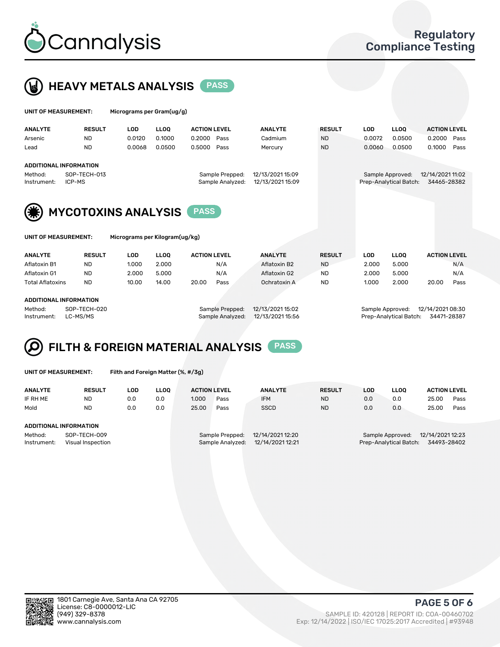



| UNIT OF MEASUREMENT:                             |                               | Micrograms per Gram(ug/g) |                                     |                     |                |                                            |                                 |             |                     |      |
|--------------------------------------------------|-------------------------------|---------------------------|-------------------------------------|---------------------|----------------|--------------------------------------------|---------------------------------|-------------|---------------------|------|
| <b>ANALYTE</b>                                   | <b>RESULT</b>                 | <b>LOD</b>                | <b>LLOO</b>                         | <b>ACTION LEVEL</b> | <b>ANALYTE</b> | <b>RESULT</b>                              | <b>LOD</b>                      | <b>LLOO</b> | <b>ACTION LEVEL</b> |      |
| Arsenic                                          | <b>ND</b>                     | 0.0120                    | 0.1000                              | 0.2000<br>Pass      | Cadmium        | <b>ND</b>                                  | 0.0072                          | 0.0500      | 0.2000              | Pass |
| Lead                                             | <b>ND</b>                     | 0.0068                    | 0.0500                              | 0.5000<br>Pass      | Mercury        | <b>ND</b>                                  | 0.0060                          | 0.0500      | 0.1000              | Pass |
|                                                  | <b>ADDITIONAL INFORMATION</b> |                           |                                     |                     |                |                                            |                                 |             |                     |      |
| SOP-TECH-013<br>Method:<br>ICP-MS<br>Instrument: |                               |                           | Sample Prepped:<br>Sample Analyzed: |                     |                | Sample Approved:<br>Prep-Analytical Batch: | 12/14/2021 11:02<br>34465-28382 |             |                     |      |
| (*)                                              | <b>MYCOTOXINS ANALYSIS</b>    |                           |                                     | <b>PASS</b>         |                |                                            |                                 |             |                     |      |



UNIT OF MEASUREMENT: Micrograms per Kilogram(ug/kg)

| <b>ANALYTE</b>          | <b>RESULT</b> | LOD   | <b>LLOO</b> | <b>ACTION LEVEL</b> | <b>ANALYTE</b> | <b>RESULT</b> | LOD   | <b>LLOO</b> | <b>ACTION LEVEL</b> |
|-------------------------|---------------|-------|-------------|---------------------|----------------|---------------|-------|-------------|---------------------|
| Aflatoxin B1            | ND            | 1.000 | 2.000       | N/A                 | Aflatoxin B2   | <b>ND</b>     | 2.000 | 5.000       | N/A                 |
| Aflatoxin G1            | <b>ND</b>     | 2.000 | 5.000       | N/A                 | Aflatoxin G2   | <b>ND</b>     | 2.000 | 5.000       | N/A                 |
| <b>Total Aflatoxins</b> | <b>ND</b>     | 10.00 | 14.00       | 20.00<br>Pass       | Ochratoxin A   | <b>ND</b>     | 1.000 | 2.000       | 20.00<br>Pass       |
|                         |               |       |             |                     |                |               |       |             |                     |
| ADDITIONAL INFORMATION  |               |       |             |                     |                |               |       |             |                     |

#### ADDITIONAL INFORMATION

Method: SOP-TECH-020 Sample Prepped: 12/13/2021 15:02 Sample Approved: 12/14/2021 08:30 Instrument: LC-MS/MS Sample Analyzed: 12/13/2021 15:56 Prep-Analytical Batch: 34471-28387

# FILTH & FOREIGN MATERIAL ANALYSIS PASS

UNIT OF MEASUREMENT: Filth and Foreign Matter (%, #/3g)

| <b>ANALYTE</b>                                              | <b>RESULT</b> | LOD | <b>LLOO</b> | <b>ACTION LEVEL</b>                                                         |      | <b>ANALYTE</b> | <b>RESULT</b> | LOD                                                                           | LLOO | <b>ACTION LEVEL</b> |      |
|-------------------------------------------------------------|---------------|-----|-------------|-----------------------------------------------------------------------------|------|----------------|---------------|-------------------------------------------------------------------------------|------|---------------------|------|
| IF RH ME                                                    | <b>ND</b>     | 0.0 | 0.0         | 1.000                                                                       | Pass | <b>IFM</b>     | <b>ND</b>     | 0.0                                                                           | 0.0  | 25.00               | Pass |
| Mold                                                        | <b>ND</b>     | 0.0 | 0.0         | 25.00                                                                       | Pass | <b>SSCD</b>    | <b>ND</b>     | 0.0                                                                           | 0.0  | 25.00               | Pass |
| <b>ADDITIONAL INFORMATION</b>                               |               |     |             |                                                                             |      |                |               |                                                                               |      |                     |      |
| Method:<br>SOP-TECH-009<br>Instrument:<br>Visual Inspection |               |     |             | 12/14/2021 12:20<br>Sample Prepped:<br>12/14/2021 12:21<br>Sample Analyzed: |      |                |               | 12/14/2021 12:23<br>Sample Approved:<br>34493-28402<br>Prep-Analytical Batch: |      |                     |      |



PAGE 5 OF 6